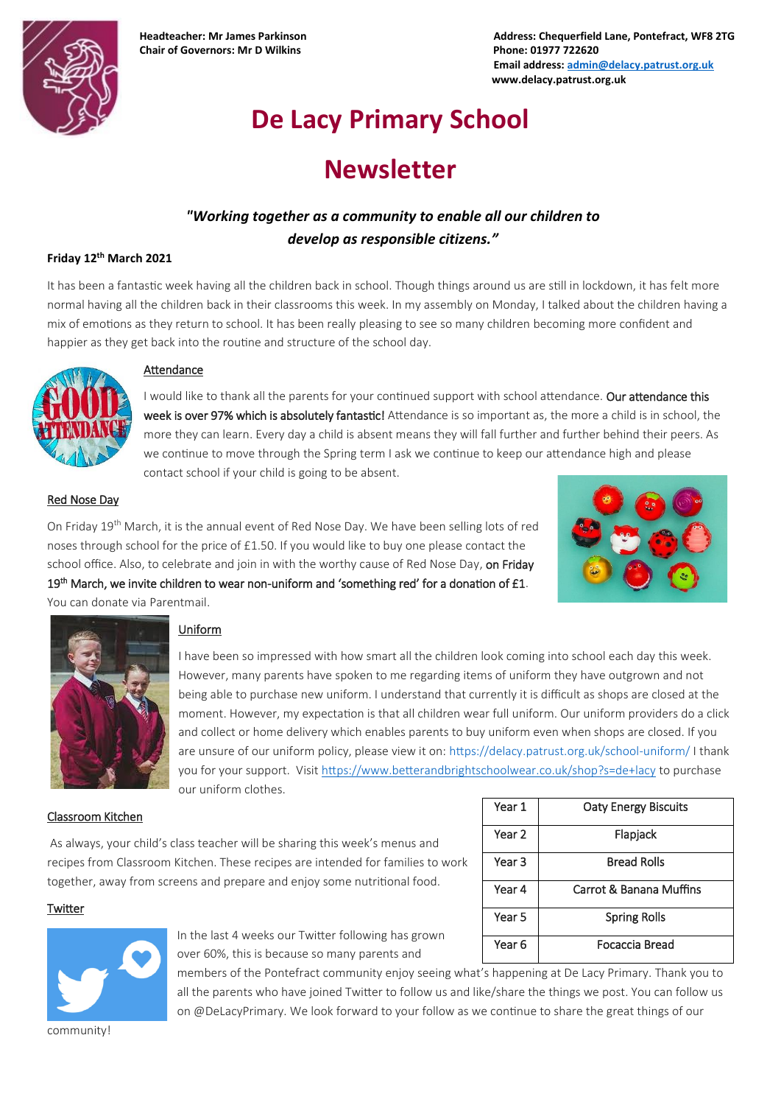

**Chair of Governors: Mr D Wilkins Phone: 01977 722620**

**Headteacher: Mr James Parkinson Address: Chequerfield Lane, Pontefract, WF8 2TG Email address[: admin@delacy.patrust.org.uk](mailto:admin@delacy.patrust.org.uk) www.delacy.patrust.org.uk**

# **De Lacy Primary School**

## **Newsletter**

## *"Working together as a community to enable all our children to develop as responsible citizens."*

#### **Friday 12th March 2021**

It has been a fantastic week having all the children back in school. Though things around us are still in lockdown, it has felt more normal having all the children back in their classrooms this week. In my assembly on Monday, I talked about the children having a mix of emotions as they return to school. It has been really pleasing to see so many children becoming more confident and happier as they get back into the routine and structure of the school day.



#### Attendance

I would like to thank all the parents for your continued support with school attendance. Our attendance this week is over 97% which is absolutely fantastic! Attendance is so important as, the more a child is in school, the more they can learn. Every day a child is absent means they will fall further and further behind their peers. As we continue to move through the Spring term I ask we continue to keep our attendance high and please contact school if your child is going to be absent.

#### Red Nose Day

On Friday 19th March, it is the annual event of Red Nose Day. We have been selling lots of red noses through school for the price of £1.50. If you would like to buy one please contact the school office. Also, to celebrate and join in with the worthy cause of Red Nose Day, on Friday 19<sup>th</sup> March, we invite children to wear non-uniform and 'something red' for a donation of £1. You can donate via Parentmail.





### Uniform

I have been so impressed with how smart all the children look coming into school each day this week. However, many parents have spoken to me regarding items of uniform they have outgrown and not being able to purchase new uniform. I understand that currently it is difficult as shops are closed at the moment. However, my expectation is that all children wear full uniform. Our uniform providers do a click and collect or home delivery which enables parents to buy uniform even when shops are closed. If you are unsure of our uniform policy, please view it on[: https://delacy.patrust.org.uk/school-uniform/](https://delacy.patrust.org.uk/school-uniform/) I thank you for your support. Visit<https://www.betterandbrightschoolwear.co.uk/shop?s=de+lacy> to purchase our uniform clothes.

#### Classroom Kitchen

As always, your child's class teacher will be sharing this week's menus and recipes from Classroom Kitchen. These recipes are intended for families to work together, away from screens and prepare and enjoy some nutritional food.

| Year 1 | <b>Oaty Energy Biscuits</b> |  |
|--------|-----------------------------|--|
| Year 2 | Flapjack                    |  |
| Year 3 | <b>Bread Rolls</b>          |  |
| Year 4 | Carrot & Banana Muffins     |  |
| Year 5 | <b>Spring Rolls</b>         |  |
| Year 6 | Focaccia Bread              |  |

#### **Twitter**



In the last 4 weeks our Twitter following has grown over 60%, this is because so many parents and

members of the Pontefract community enjoy seeing what's happening at De Lacy Primary. Thank you to all the parents who have joined Twitter to follow us and like/share the things we post. You can follow us on @DeLacyPrimary. We look forward to your follow as we continue to share the great things of our

community!